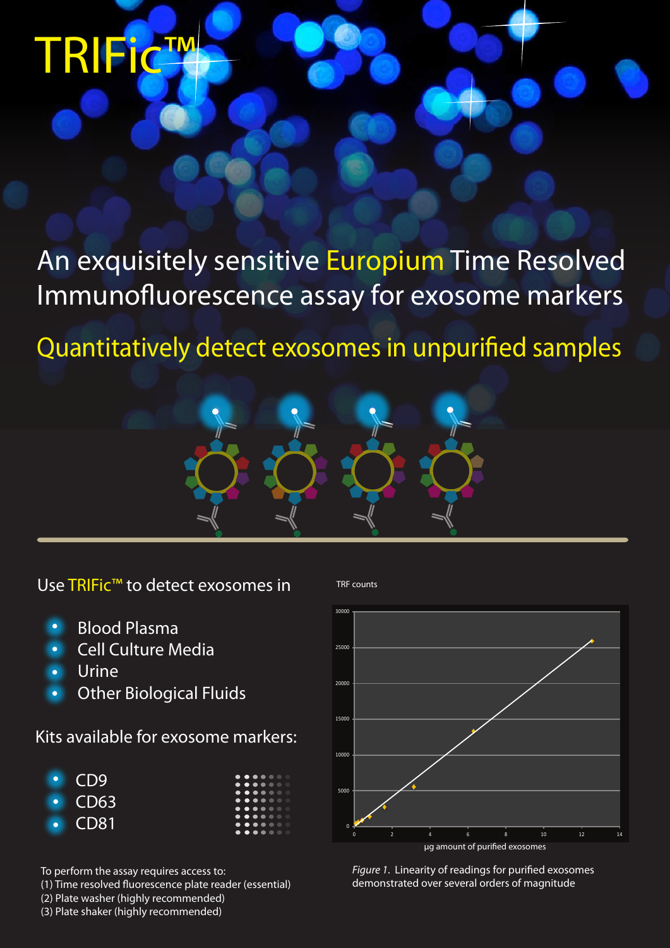## TRIFic™

An exquisitely sensitive Europium Time Resolved Immunofluorescence assay for exosome markers

Quantitatively detect exosomes in unpurified samples



Use TRIFic™ to detect exosomes in

- Blood Plasma
- Cell Culture Media
- Urine
- Other Biological Fluids

Kits available for exosome markers:



To perform the assay requires access to:

(1) Time resolved fluorescence plate reader (essential)

(2) Plate washer (highly recommended)

(3) Plate shaker (highly recommended)

TRF counts



Figure 1. Linearity of readings for purified exosomes demonstrated over several orders of magnitude